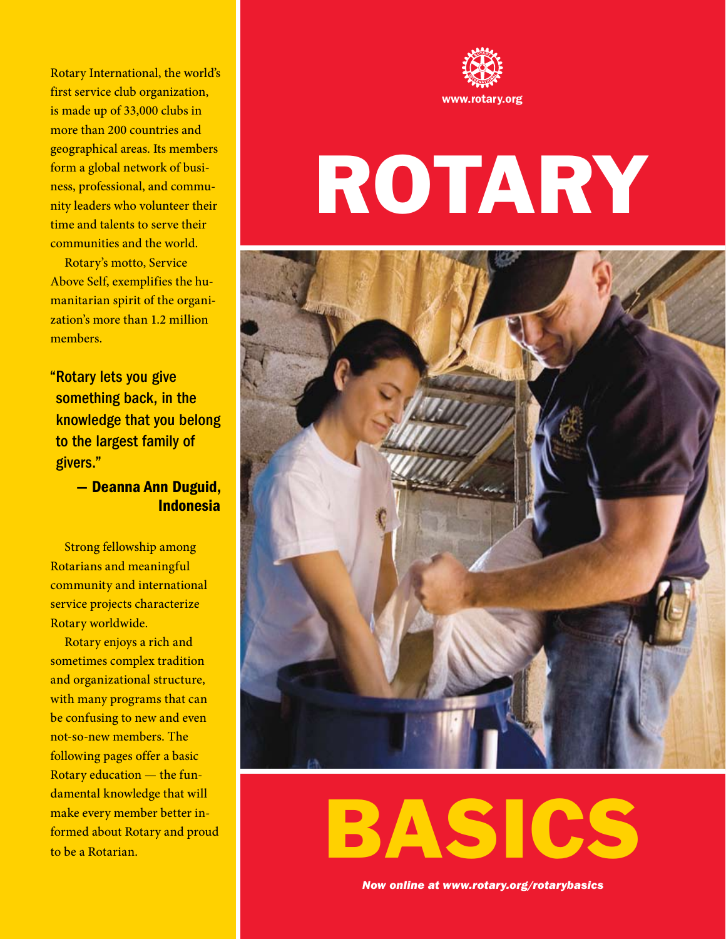Rotary International, the world's first service club organization, is made up of 33,000 clubs in more than 200 countries and geographical areas. Its members form a global network of business, professional, and community leaders who volunteer their time and talents to serve their communities and the world.

Rotary's motto, Service Above Self, exemplifies the humanitarian spirit of the organization's more than 1.2 million members.

"Rotary lets you give something back, in the knowledge that you belong to the largest family of givers."

> — Deanna Ann Duguid, Indonesia

Strong fellowship among Rotarians and meaningful community and international service projects characterize Rotary worldwide.

Rotary enjoys a rich and sometimes complex tradition and organizational structure, with many programs that can be confusing to new and even not-so-new members. The following pages offer a basic Rotary education — the fundamental knowledge that will make every member better informed about Rotary and proud to be a Rotarian.



# Rotary



BASICS

*Now online at <www.rotary.org/rotarybasics>*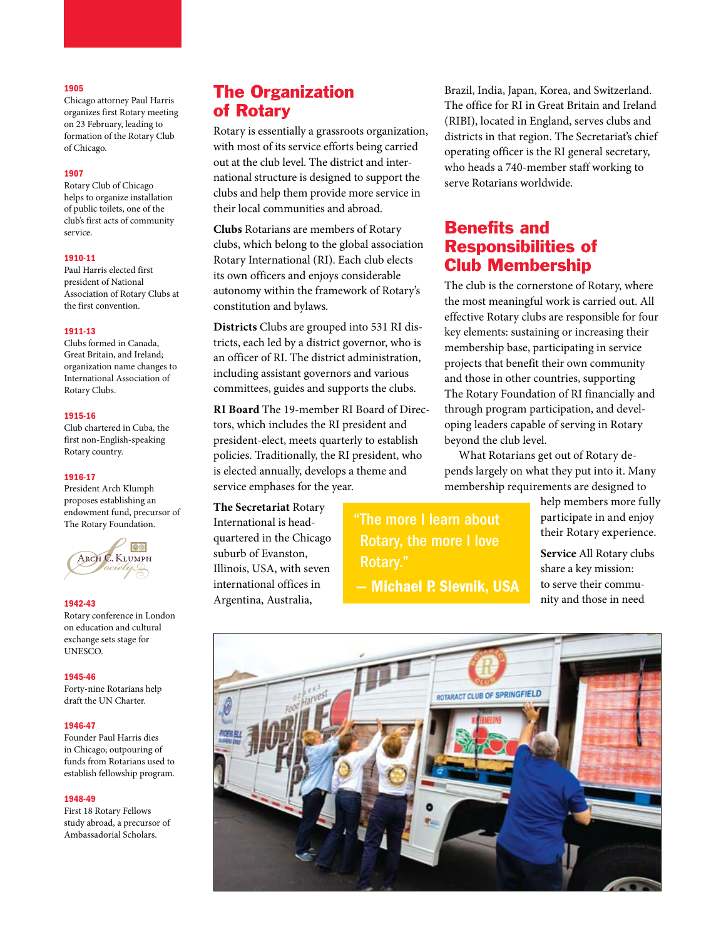#### 1905

Chicago attorney Paul Harris organizes first Rotary meeting on 23 February, leading to formation of the Rotary Club of Chicago.

#### 1907

Rotary Club of Chicago helps to organize installation of public toilets, one of the club's first acts of community service.

#### 1910-11

Paul Harris elected first president of National Association of Rotary Clubs at the first convention.

#### 1911-13

Clubs formed in Canada, Great Britain, and Ireland; organization name changes to International Association of Rotary Clubs.

#### 1915-16

Club chartered in Cuba, the first non-English-speaking Rotary country.

#### 1916-17

President Arch Klumph proposes establishing an endowment fund, precursor of The Rotary Foundation.



#### 1942-43

Rotary conference in London on education and cultural exchange sets stage for UNESCO.

#### 1945-46

Forty-nine Rotarians help draft the UN Charter.

#### 1946-47

Founder Paul Harris dies in Chicago; outpouring of funds from Rotarians used to establish fellowship program.

#### 1948-49

First 18 Rotary Fellows study abroad, a precursor of Ambassadorial Scholars.

## The Organization of Rotary

Rotary is essentially a grassroots organization, with most of its service efforts being carried out at the club level. The district and international structure is designed to support the clubs and help them provide more service in their local communities and abroad.

**Clubs** Rotarians are members of Rotary clubs, which belong to the global association Rotary International (RI). Each club elects its own officers and enjoys considerable autonomy within the framework of Rotary's constitution and bylaws.

**Districts** Clubs are grouped into 531 RI districts, each led by a district governor, who is an officer of RI. The district administration, including assistant governors and various committees, guides and supports the clubs.

**RI Board** The 19-member RI Board of Directors, which includes the RI president and president-elect, meets quarterly to establish policies. Traditionally, the RI president, who is elected annually, develops a theme and service emphases for the year.

**The Secretariat** Rotary International is headquartered in the Chicago suburb of Evanston, Illinois, USA, with seven international offices in Argentina, Australia,

"The more I learn about Rotary, the more I love Rotary."

— Michael P. Slevnik, USA

Brazil, India, Japan, Korea, and Switzerland. The office for RI in Great Britain and Ireland (RIBI), located in England, serves clubs and districts in that region. The Secretariat's chief operating officer is the RI general secretary, who heads a 740-member staff working to serve Rotarians worldwide.

## Benefits and Responsibilities of Club Membership

The club is the cornerstone of Rotary, where the most meaningful work is carried out. All effective Rotary clubs are responsible for four key elements: sustaining or increasing their membership base, participating in service projects that benefit their own community and those in other countries, supporting The Rotary Foundation of RI financially and through program participation, and developing leaders capable of serving in Rotary beyond the club level.

What Rotarians get out of Rotary depends largely on what they put into it. Many membership requirements are designed to

> help members more fully participate in and enjoy their Rotary experience.

**Service** All Rotary clubs share a key mission: to serve their community and those in need

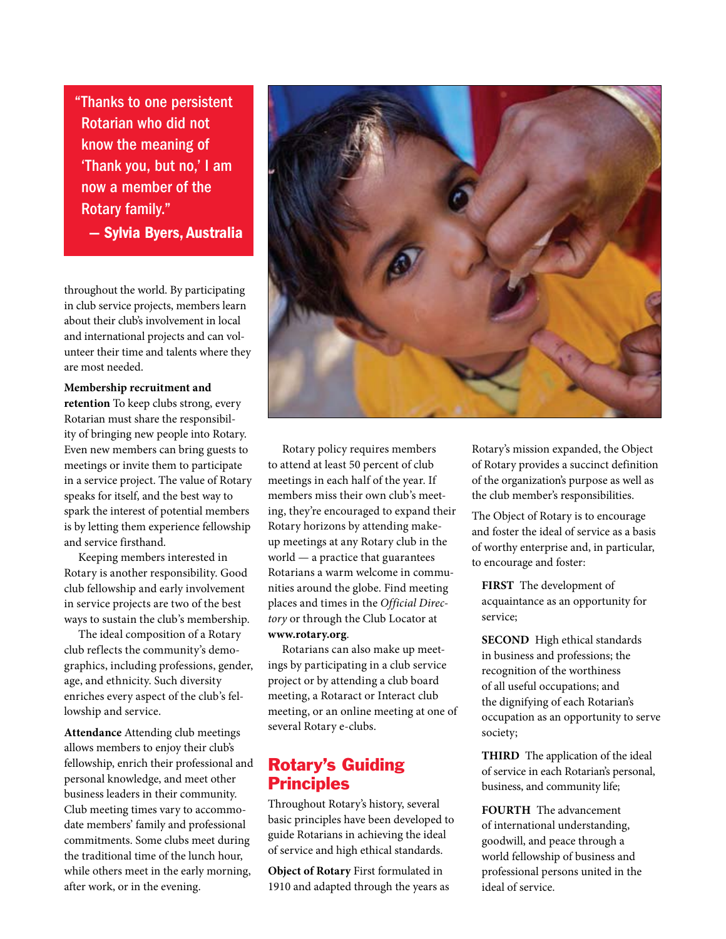"Thanks to one persistent Rotarian who did not know the meaning of 'Thank you, but no,' I am now a member of the Rotary family."

— Sylvia Byers, Australia

throughout the world. By participating in club service projects, members learn about their club's involvement in local and international projects and can volunteer their time and talents where they are most needed.

**Membership recruitment and retention** To keep clubs strong, every Rotarian must share the responsibility of bringing new people into Rotary. Even new members can bring guests to meetings or invite them to participate in a service project. The value of Rotary speaks for itself, and the best way to spark the interest of potential members is by letting them experience fellowship and service firsthand.

Keeping members interested in Rotary is another responsibility. Good club fellowship and early involvement in service projects are two of the best ways to sustain the club's membership.

The ideal composition of a Rotary club reflects the community's demographics, including professions, gender, age, and ethnicity. Such diversity enriches every aspect of the club's fellowship and service.

**Attendance** Attending club meetings allows members to enjoy their club's fellowship, enrich their professional and personal knowledge, and meet other business leaders in their community. Club meeting times vary to accommodate members' family and professional commitments. Some clubs meet during the traditional time of the lunch hour, while others meet in the early morning, after work, or in the evening.



Rotary policy requires members to attend at least 50 percent of club meetings in each half of the year. If members miss their own club's meeting, they're encouraged to expand their Rotary horizons by attending makeup meetings at any Rotary club in the world — a practice that guarantees Rotarians a warm welcome in communities around the globe. Find meeting places and times in the *Official Directory* or through the Club Locator at **<www.rotary.org>**.

Rotarians can also make up meetings by participating in a club service project or by attending a club board meeting, a Rotaract or Interact club meeting, or an online meeting at one of several Rotary e-clubs.

# Rotary's Guiding **Principles**

Throughout Rotary's history, several basic principles have been developed to guide Rotarians in achieving the ideal of service and high ethical standards.

**Object of Rotary** First formulated in 1910 and adapted through the years as Rotary's mission expanded, the Object of Rotary provides a succinct definition of the organization's purpose as well as the club member's responsibilities.

The Object of Rotary is to encourage and foster the ideal of service as a basis of worthy enterprise and, in particular, to encourage and foster:

**FIRST** The development of acquaintance as an opportunity for service;

**SECOND** High ethical standards in business and professions; the recognition of the worthiness of all useful occupations; and the dignifying of each Rotarian's occupation as an opportunity to serve society;

**THIRD** The application of the ideal of service in each Rotarian's personal, business, and community life;

**FOURTH** The advancement of international understanding, goodwill, and peace through a world fellowship of business and professional persons united in the ideal of service.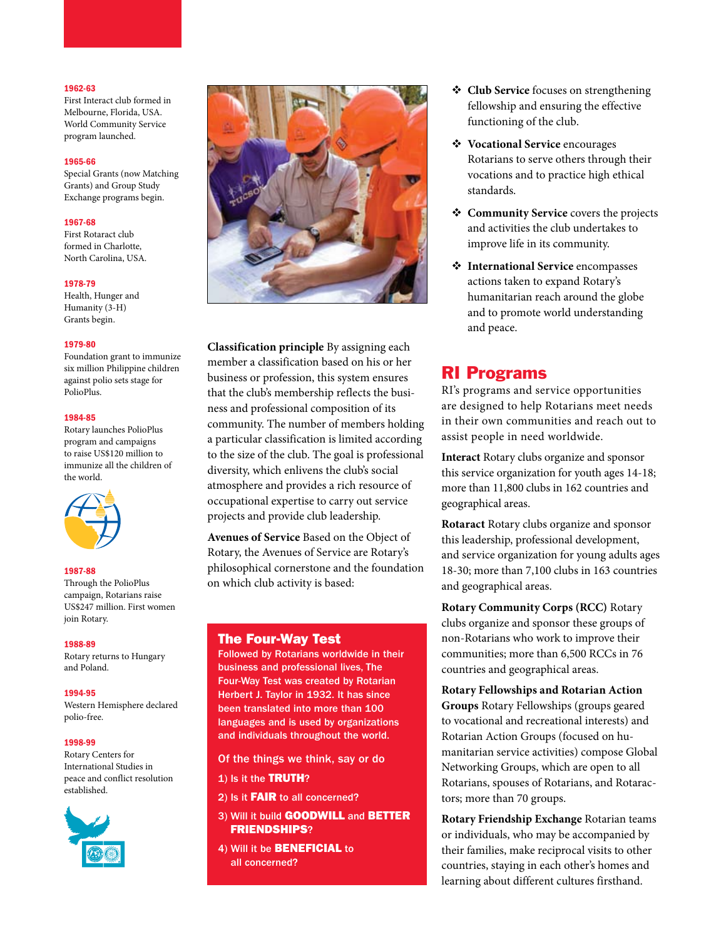#### 1962-63

First Interact club formed in Melbourne, Florida, USA. World Community Service program launched.

#### 1965-66

Special Grants (now Matching Grants) and Group Study Exchange programs begin.

#### 1967-68

First Rotaract club formed in Charlotte, North Carolina, USA.

#### 1978-79

Health, Hunger and Humanity (3-H) Grants begin.

#### 1979-80

Foundation grant to immunize six million Philippine children against polio sets stage for PolioPlus.

#### 1984-85

Rotary launches PolioPlus program and campaigns to raise US\$120 million to immunize all the children of the world.



#### 1987-88

Through the PolioPlus campaign, Rotarians raise US\$247 million. First women join Rotary.

#### 1988-89

Rotary returns to Hungary and Poland.

#### 1994-95

Western Hemisphere declared polio-free.

#### 1998-99

Rotary Centers for International Studies in peace and conflict resolution established.





**Classification principle** By assigning each member a classification based on his or her business or profession, this system ensures that the club's membership reflects the business and professional composition of its community. The number of members holding a particular classification is limited according to the size of the club. The goal is professional diversity, which enlivens the club's social atmosphere and provides a rich resource of occupational expertise to carry out service projects and provide club leadership.

**Avenues of Service** Based on the Object of Rotary, the Avenues of Service are Rotary's philosophical cornerstone and the foundation on which club activity is based:

#### The Four-Way Test

Followed by Rotarians worldwide in their business and professional lives, The Four-Way Test was created by Rotarian Herbert J. Taylor in 1932. It has since been translated into more than 100 languages and is used by organizations and individuals throughout the world.

Of the things we think, say or do

- 1) Is it the TRUTH?
- 2) Is it FAIR to all concerned?
- 3) Will it build **GOODWILL** and **BETTER** FRIENDSHIPS?
- 4) Will it be BENEFICIAL to all concerned?
- **Club Service** focuses on strengthening fellowship and ensuring the effective functioning of the club.
- **Vocational Service** encourages Rotarians to serve others through their vocations and to practice high ethical standards.
- **Community Service** covers the projects and activities the club undertakes to improve life in its community.
- **International Service** encompasses actions taken to expand Rotary's humanitarian reach around the globe and to promote world understanding and peace.

# RI Programs

RI's programs and service opportunities are designed to help Rotarians meet needs in their own communities and reach out to assist people in need worldwide.

**Interact** Rotary clubs organize and sponsor this service organization for youth ages 14-18; more than 11,800 clubs in 162 countries and geographical areas.

**Rotaract** Rotary clubs organize and sponsor this leadership, professional development, and service organization for young adults ages 18-30; more than 7,100 clubs in 163 countries and geographical areas.

**Rotary Community Corps (RCC)** Rotary clubs organize and sponsor these groups of non-Rotarians who work to improve their communities; more than 6,500 RCCs in 76 countries and geographical areas.

**Rotary Fellowships and Rotarian Action Groups** Rotary Fellowships (groups geared to vocational and recreational interests) and Rotarian Action Groups (focused on humanitarian service activities) compose Global Networking Groups, which are open to all Rotarians, spouses of Rotarians, and Rotaractors; more than 70 groups.

**Rotary Friendship Exchange** Rotarian teams or individuals, who may be accompanied by their families, make reciprocal visits to other countries, staying in each other's homes and learning about different cultures firsthand.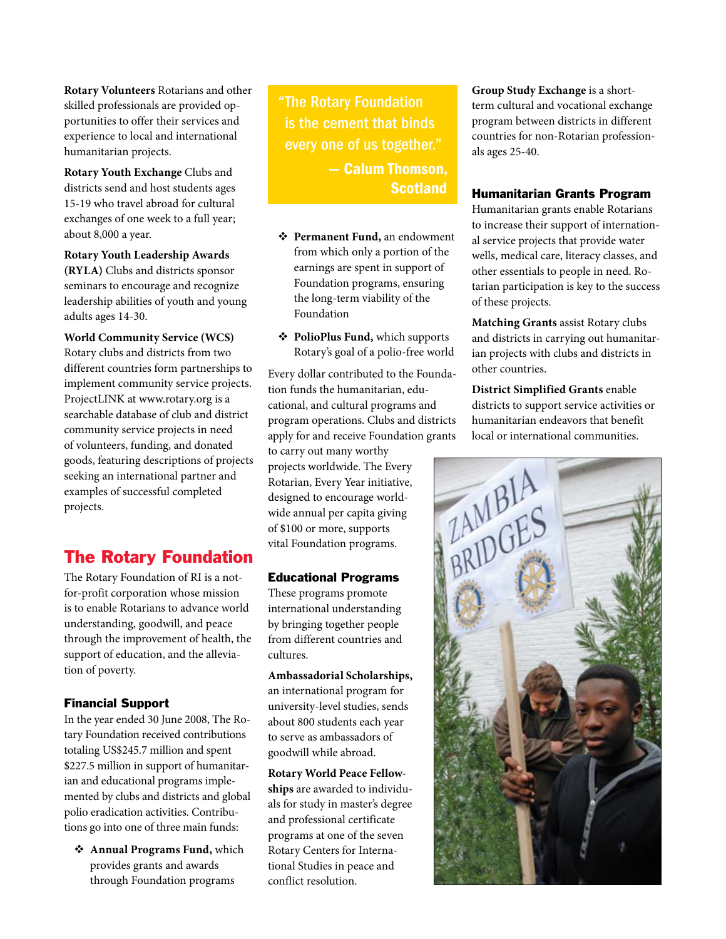**Rotary Volunteers** Rotarians and other skilled professionals are provided opportunities to offer their services and experience to local and international humanitarian projects.

**Rotary Youth Exchange** Clubs and districts send and host students ages 15-19 who travel abroad for cultural exchanges of one week to a full year; about 8,000 a year.

**Rotary Youth Leadership Awards (RYLA)** Clubs and districts sponsor seminars to encourage and recognize leadership abilities of youth and young adults ages 14-30.

**World Community Service (WCS)** Rotary clubs and districts from two different countries form partnerships to implement community service projects. ProjectLINK at www.rotary.org is a searchable database of club and district community service projects in need of volunteers, funding, and donated goods, featuring descriptions of projects seeking an international partner and examples of successful completed projects.

# The Rotary Foundation

The Rotary Foundation of RI is a notfor-profit corporation whose mission is to enable Rotarians to advance world understanding, goodwill, and peace through the improvement of health, the support of education, and the alleviation of poverty.

### Financial Support

In the year ended 30 June 2008, The Rotary Foundation received contributions totaling US\$245.7 million and spent \$227.5 million in support of humanitarian and educational programs implemented by clubs and districts and global polio eradication activities. Contributions go into one of three main funds:

 **Annual Programs Fund,** which provides grants and awards through Foundation programs

"The Rotary Foundation is the cement that binds every one of us together." — Calum Thomson, **Scotland** 

- **Permanent Fund,** an endowment from which only a portion of the earnings are spent in support of Foundation programs, ensuring the long-term viability of the Foundation
- **PolioPlus Fund,** which supports Rotary's goal of a polio-free world

Every dollar contributed to the Foundation funds the humanitarian, educational, and cultural programs and program operations. Clubs and districts apply for and receive Foundation grants to carry out many worthy projects worldwide. The Every

Rotarian, Every Year initiative, designed to encourage worldwide annual per capita giving of \$100 or more, supports vital Foundation programs.

#### Educational Programs

These programs promote international understanding by bringing together people from different countries and cultures.

**Ambassadorial Scholarships,** an international program for university-level studies, sends about 800 students each year to serve as ambassadors of goodwill while abroad.

**Rotary World Peace Fellowships** are awarded to individuals for study in master's degree and professional certificate programs at one of the seven Rotary Centers for International Studies in peace and conflict resolution.

**Group Study Exchange** is a shortterm cultural and vocational exchange program between districts in different countries for non-Rotarian professionals ages 25-40.

#### Humanitarian Grants Program

Humanitarian grants enable Rotarians to increase their support of international service projects that provide water wells, medical care, literacy classes, and other essentials to people in need. Rotarian participation is key to the success of these projects.

**Matching Grants** assist Rotary clubs and districts in carrying out humanitarian projects with clubs and districts in other countries.

**District Simplified Grants** enable districts to support service activities or humanitarian endeavors that benefit local or international communities.

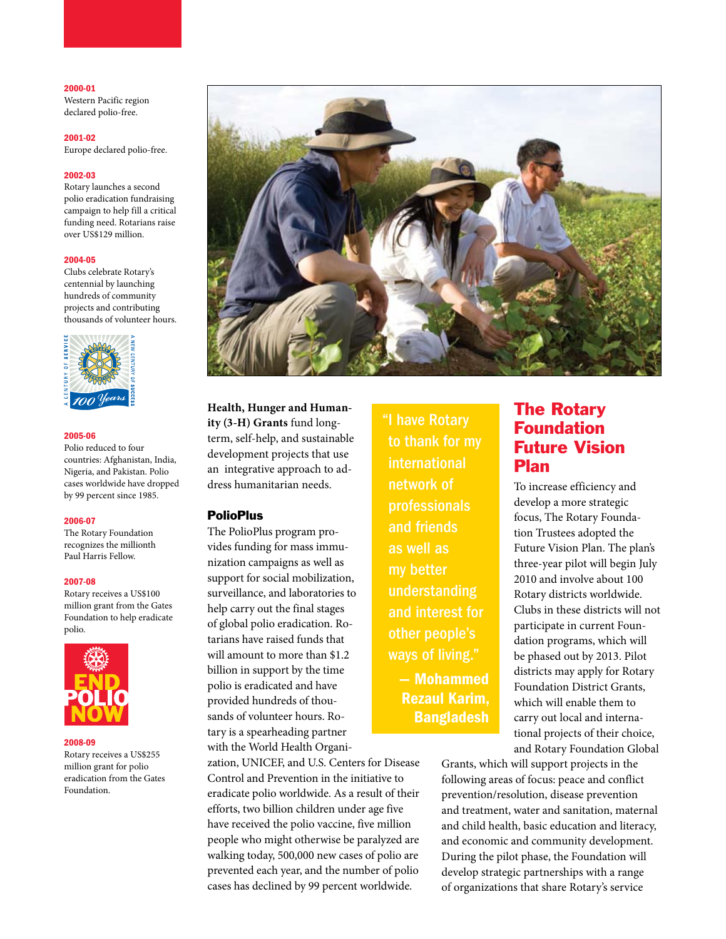#### 2000-01

Western Pacific region declared polio-free.

2001-02

Europe declared polio-free.

#### 2002-03

Rotary launches a second polio eradication fundraising campaign to help fill a critical funding need. Rotarians raise over US\$129 million.

#### 2004-05

Clubs celebrate Rotary's centennial by launching hundreds of community projects and contributing thousands of volunteer hours.



#### 2005-06

Polio reduced to four countries: Afghanistan, India, Nigeria, and Pakistan. Polio cases worldwide have dropped by 99 percent since 1985.

#### 2006-07

The Rotary Foundation recognizes the millionth Paul Harris Fellow.

#### 2007-08

Rotary receives a US\$100 million grant from the Gates Foundation to help eradicate polio.



#### 2008-09

Rotary receives a US\$255 million grant for polio eradication from the Gates Foundation.



**Health, Hunger and Humanity (3-H) Grants** fund longterm, self-help, and sustainable development projects that use an integrative approach to address humanitarian needs.

#### PolioPlus

The PolioPlus program provides funding for mass immunization campaigns as well as support for social mobilization, surveillance, and laboratories to help carry out the final stages of global polio eradication. Rotarians have raised funds that will amount to more than \$1.2 billion in support by the time polio is eradicated and have provided hundreds of thousands of volunteer hours. Rotary is a spearheading partner with the World Health Organi-

zation, UNICEF, and U.S. Centers for Disease Control and Prevention in the initiative to eradicate polio worldwide. As a result of their efforts, two billion children under age five have received the polio vaccine, five million people who might otherwise be paralyzed are walking today, 500,000 new cases of polio are prevented each year, and the number of polio cases has declined by 99 percent worldwide.

"I have Rotary to thank for my international network of professionals and friends as well as my better understanding and interest for other people's ways of living." — Mohammed Rezaul Karim, Bangladesh

# The Rotary Foundation Future Vision Plan

To increase efficiency and develop a more strategic focus, The Rotary Foundation Trustees adopted the Future Vision Plan. The plan's three-year pilot will begin July 2010 and involve about 100 Rotary districts worldwide. Clubs in these districts will not participate in current Foundation programs, which will be phased out by 2013. Pilot districts may apply for Rotary Foundation District Grants, which will enable them to carry out local and international projects of their choice, and Rotary Foundation Global

Grants, which will support projects in the following areas of focus: peace and conflict prevention/resolution, disease prevention and treatment, water and sanitation, maternal and child health, basic education and literacy, and economic and community development. During the pilot phase, the Foundation will develop strategic partnerships with a range of organizations that share Rotary's service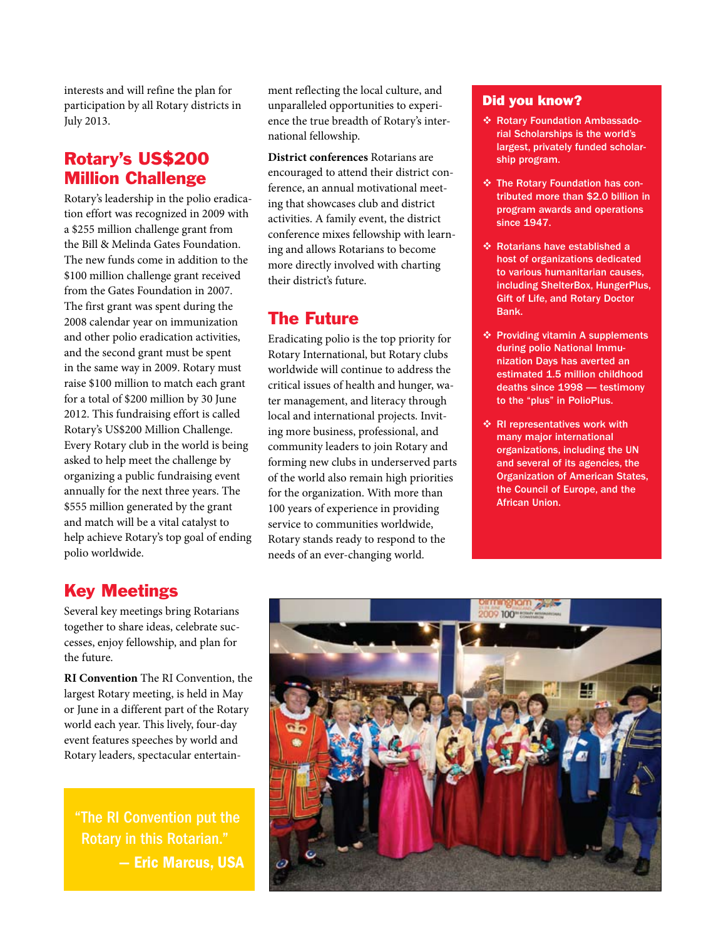interests and will refine the plan for participation by all Rotary districts in July 2013.

# Rotary's US\$200 Million Challenge

Rotary's leadership in the polio eradication effort was recognized in 2009 with a \$255 million challenge grant from the Bill & Melinda Gates Foundation. The new funds come in addition to the \$100 million challenge grant received from the Gates Foundation in 2007. The first grant was spent during the 2008 calendar year on immunization and other polio eradication activities, and the second grant must be spent in the same way in 2009. Rotary must raise \$100 million to match each grant for a total of \$200 million by 30 June 2012. This fundraising effort is called Rotary's US\$200 Million Challenge. Every Rotary club in the world is being asked to help meet the challenge by organizing a public fundraising event annually for the next three years. The \$555 million generated by the grant and match will be a vital catalyst to help achieve Rotary's top goal of ending polio worldwide.

ment reflecting the local culture, and unparalleled opportunities to experience the true breadth of Rotary's international fellowship.

**District conferences** Rotarians are encouraged to attend their district conference, an annual motivational meeting that showcases club and district activities. A family event, the district conference mixes fellowship with learning and allows Rotarians to become more directly involved with charting their district's future.

# The Future

Eradicating polio is the top priority for Rotary International, but Rotary clubs worldwide will continue to address the critical issues of health and hunger, water management, and literacy through local and international projects. Inviting more business, professional, and community leaders to join Rotary and forming new clubs in underserved parts of the world also remain high priorities for the organization. With more than 100 years of experience in providing service to communities worldwide, Rotary stands ready to respond to the needs of an ever-changing world.

## Did you know?

- **<sup>◆</sup> Rotary Foundation Ambassado**rial Scholarships is the world's largest, privately funded scholarship program**.**
- The Rotary Foundation has contributed more than \$2.0 billion in program awards and operations since 1947.
- $\div$  **Rotarians have established a** host of organizations dedicated to various humanitarian causes, including ShelterBox, HungerPlus, Gift of Life, and Rotary Doctor Bank.
- **<sup>◆</sup> Providing vitamin A supplements** during polio National Immunization Days has averted an estimated 1.5 million childhood deaths since 1998 — testimony to the "plus" in PolioPlus.
- **<b> RI** representatives work with many major international organizations, including the UN and several of its agencies, the Organization of American States, the Council of Europe, and the African Union.

# Key Meetings

Several key meetings bring Rotarians together to share ideas, celebrate successes, enjoy fellowship, and plan for the future.

**RI Convention** The RI Convention, the largest Rotary meeting, is held in May or June in a different part of the Rotary world each year. This lively, four-day event features speeches by world and Rotary leaders, spectacular entertain-

"The RI Convention put the Rotary in this Rotarian." — Eric Marcus, USA